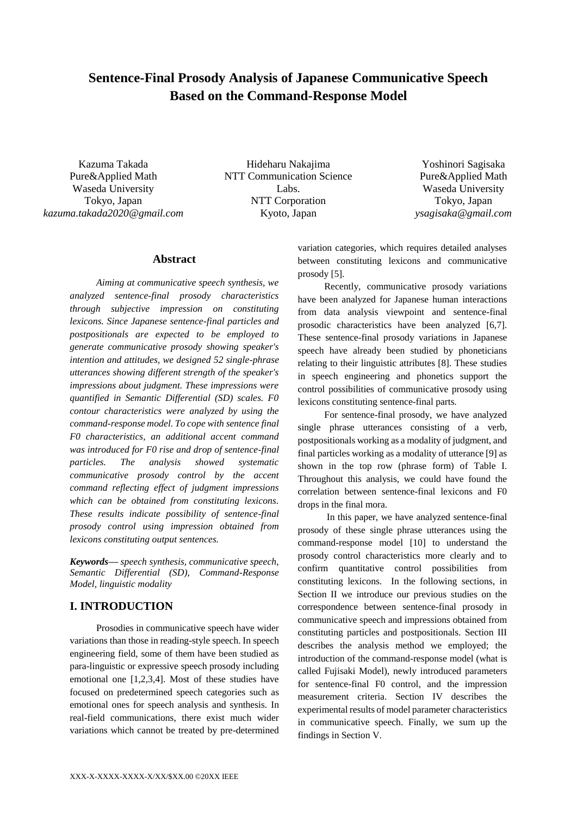# **Sentence-Final Prosody Analysis of Japanese Communicative Speech Based on the Command-Response Model**

Kazuma Takada Pure&Applied Math Waseda University Tokyo, Japan *kazuma.takada2020@gmail.com*

Hideharu Nakajima NTT Communication Science Labs. NTT Corporation Kyoto, Japan

Yoshinori Sagisaka Pure&Applied Math Waseda University Tokyo, Japan *ysagisaka@gmail.com*

# **Abstract**

*Aiming at communicative speech synthesis, we analyzed sentence-final prosody characteristics through subjective impression on constituting lexicons. Since Japanese sentence-final particles and postpositionals are expected to be employed to generate communicative prosody showing speaker's intention and attitudes, we designed 52 single-phrase utterances showing different strength of the speaker's impressions about judgment. These impressions were quantified in Semantic Differential (SD) scales. F0 contour characteristics were analyzed by using the command-response model. To cope with sentence final F0 characteristics, an additional accent command was introduced for F0 rise and drop of sentence-final particles. The analysis showed systematic communicative prosody control by the accent command reflecting effect of judgment impressions which can be obtained from constituting lexicons. These results indicate possibility of sentence-final prosody control using impression obtained from lexicons constituting output sentences.*

*Keywords— speech synthesis, communicative speech, Semantic Differential (SD), Command-Response Model, linguistic modality*

# **I. INTRODUCTION**

Prosodies in communicative speech have wider variations than those in reading-style speech. In speech engineering field, some of them have been studied as para-linguistic or expressive speech prosody including emotional one [1,2,3,4]. Most of these studies have focused on predetermined speech categories such as emotional ones for speech analysis and synthesis. In real-field communications, there exist much wider variations which cannot be treated by pre-determined variation categories, which requires detailed analyses between constituting lexicons and communicative prosody [5].

Recently, communicative prosody variations have been analyzed for Japanese human interactions from data analysis viewpoint and sentence-final prosodic characteristics have been analyzed [6,7]. These sentence-final prosody variations in Japanese speech have already been studied by phoneticians relating to their linguistic attributes [8]. These studies in speech engineering and phonetics support the control possibilities of communicative prosody using lexicons constituting sentence-final parts.

For sentence-final prosody, we have analyzed single phrase utterances consisting of a verb, postpositionals working as a modality of judgment, and final particles working as a modality of utterance [9] as shown in the top row (phrase form) of Table I. Throughout this analysis, we could have found the correlation between sentence-final lexicons and F0 drops in the final mora.

In this paper, we have analyzed sentence-final prosody of these single phrase utterances using the command-response model [10] to understand the prosody control characteristics more clearly and to confirm quantitative control possibilities from constituting lexicons. In the following sections, in Section II we introduce our previous studies on the correspondence between sentence-final prosody in communicative speech and impressions obtained from constituting particles and postpositionals. Section III describes the analysis method we employed; the introduction of the command-response model (what is called Fujisaki Model), newly introduced parameters for sentence-final F0 control, and the impression measurement criteria. Section IV describes the experimental results of model parameter characteristics in communicative speech. Finally, we sum up the findings in Section V.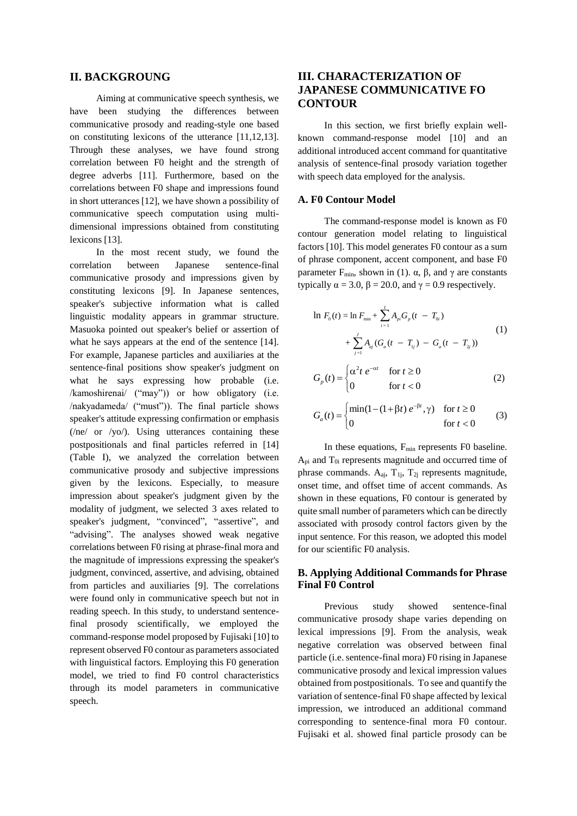# **II. BACKGROUNG**

Aiming at communicative speech synthesis, we have been studying the differences between communicative prosody and reading-style one based on constituting lexicons of the utterance [11,12,13]. Through these analyses, we have found strong correlation between F0 height and the strength of degree adverbs [11]. Furthermore, based on the correlations between F0 shape and impressions found in short utterances [12], we have shown a possibility of communicative speech computation using multidimensional impressions obtained from constituting lexicons [13].

In the most recent study, we found the correlation between Japanese sentence-final communicative prosody and impressions given by constituting lexicons [9]. In Japanese sentences, speaker's subjective information what is called linguistic modality appears in grammar structure. Masuoka pointed out speaker's belief or assertion of what he says appears at the end of the sentence [14]. For example, Japanese particles and auxiliaries at the sentence-final positions show speaker's judgment on what he says expressing how probable (i.e. /kamoshirenai/ ("may")) or how obligatory (i.e. /nakyadameda/ ("must")). The final particle shows speaker's attitude expressing confirmation or emphasis  $(\text{ne/ or } \text{/yo/}).$  Using utterances containing these postpositionals and final particles referred in [14] (Table I), we analyzed the correlation between communicative prosody and subjective impressions given by the lexicons. Especially, to measure impression about speaker's judgment given by the modality of judgment, we selected 3 axes related to speaker's judgment, "convinced", "assertive", and "advising". The analyses showed weak negative correlations between F0 rising at phrase-final mora and the magnitude of impressions expressing the speaker's judgment, convinced, assertive, and advising, obtained from particles and auxiliaries [9]. The correlations were found only in communicative speech but not in reading speech. In this study, to understand sentencefinal prosody scientifically, we employed the command-response model proposed by Fujisaki [10] to represent observed F0 contour as parameters associated with linguistical factors. Employing this F0 generation model, we tried to find F0 control characteristics through its model parameters in communicative speech.

# **III. CHARACTERIZATION OF JAPANESE COMMUNICATIVE FO CONTOUR**

In this section, we first briefly explain wellknown command-response model [10] and an additional introduced accent command for quantitative analysis of sentence-final prosody variation together with speech data employed for the analysis.

#### **A. F0 Contour Model**

The command-response model is known as F0 contour generation model relating to linguistical factors [10]. This model generates F0 contour as a sum of phrase component, accent component, and base F0 parameter F<sub>min</sub>, shown in (1). α, β, and γ are constants typically  $\alpha = 3.0$ ,  $\beta = 20.0$ , and  $\gamma = 0.9$  respectively.

0 min 0 = 1 2 =1 ( ) = ln + ( ) + ( ( ) ( )) ln *pi p i i J aj <sup>a</sup> j <sup>a</sup> j j F t F A G t T A G t T G t T* (1) 2 *t*

$$
G_p(t) = \begin{cases} \alpha^2 t e^{-\alpha t} & \text{for } t \ge 0\\ 0 & \text{for } t < 0 \end{cases}
$$
 (2)

$$
G_a(t) = \begin{cases} \min(1 - (1 + \beta t) e^{-\beta t}, \gamma) & \text{for } t \ge 0\\ 0 & \text{for } t < 0 \end{cases}
$$
 (3)

In these equations, F<sub>min</sub> represents F0 baseline.  $A_{\text{pi}}$  and  $T_{0i}$  represents magnitude and occurred time of phrase commands.  $A_{ai}$ ,  $T_{1i}$ ,  $T_{2i}$  represents magnitude, onset time, and offset time of accent commands. As shown in these equations, F0 contour is generated by quite small number of parameters which can be directly associated with prosody control factors given by the input sentence. For this reason, we adopted this model for our scientific F0 analysis.

### **B. Applying Additional Commands for Phrase Final F0 Control**

Previous study showed sentence-final communicative prosody shape varies depending on lexical impressions [9]. From the analysis, weak negative correlation was observed between final particle (i.e. sentence-final mora) F0 rising in Japanese communicative prosody and lexical impression values obtained from postpositionals. To see and quantify the variation of sentence-final F0 shape affected by lexical impression, we introduced an additional command corresponding to sentence-final mora F0 contour. Fujisaki et al. showed final particle prosody can be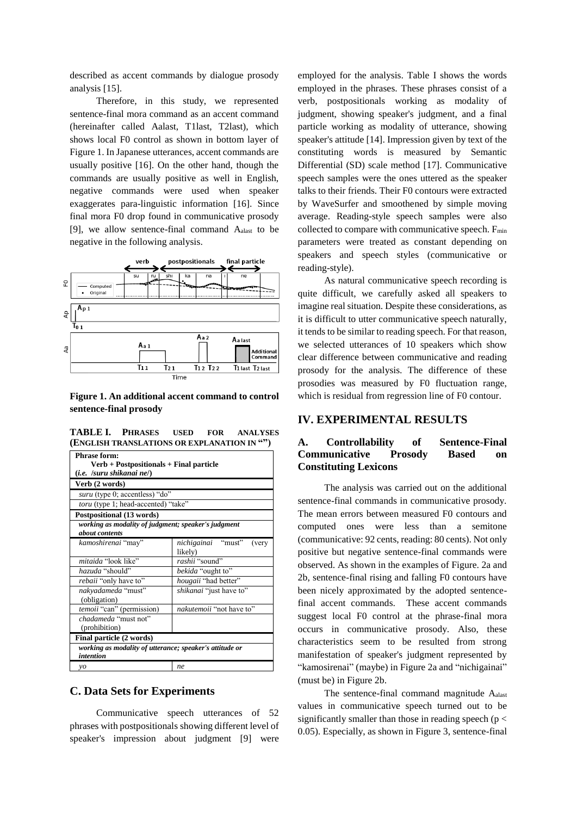described as accent commands by dialogue prosody analysis [15].

Therefore, in this study, we represented sentence-final mora command as an accent command (hereinafter called Aalast, T1last, T2last), which shows local F0 control as shown in bottom layer of Figure 1. In Japanese utterances, accent commands are usually positive [16]. On the other hand, though the commands are usually positive as well in English, negative commands were used when speaker exaggerates para-linguistic information [16]. Since final mora F0 drop found in communicative prosody [9], we allow sentence-final command  $A<sub>alast</sub>$  to be negative in the following analysis.



**Figure 1. An additional accent command to control sentence-final prosody**

**TABLE I. PHRASES USED FOR ANALYSES (ENGLISH TRANSLATIONS OR EXPLANATION IN "")**

| <b>Phrase form:</b>                                                         |                                        |  |  |  |  |
|-----------------------------------------------------------------------------|----------------------------------------|--|--|--|--|
| Verb + Postpositionals + Final particle                                     |                                        |  |  |  |  |
| $(i.e.$ /suru shikanai ne/ $)$                                              |                                        |  |  |  |  |
| Verb (2 words)                                                              |                                        |  |  |  |  |
| suru (type 0; accentless) "do"                                              |                                        |  |  |  |  |
| toru (type 1; head-accented) "take"                                         |                                        |  |  |  |  |
| Postpositional (13 words)                                                   |                                        |  |  |  |  |
| working as modality of judgment; speaker's judgment                         |                                        |  |  |  |  |
| <i>about contents</i>                                                       |                                        |  |  |  |  |
| kamoshirenai "may"                                                          | nichigainai "must"<br>(very<br>likely) |  |  |  |  |
| mitaida "look like"                                                         | rashii "sound"                         |  |  |  |  |
| hazuda "should"                                                             | bekida "ought to"                      |  |  |  |  |
| rebaii "only have to"                                                       | hougaii "had better"                   |  |  |  |  |
| nakyadameda "must"<br>(obligation)                                          | <i>shikanai</i> "just have to"         |  |  |  |  |
| temoii "can" (permission)                                                   | <i>nakutemoii</i> "not have to"        |  |  |  |  |
| chadameda "must not"                                                        |                                        |  |  |  |  |
| (prohibition)                                                               |                                        |  |  |  |  |
| Final particle (2 words)                                                    |                                        |  |  |  |  |
| working as modality of utterance; speaker's attitude or<br><i>intention</i> |                                        |  |  |  |  |
| $\mathcal{V}$                                                               | ne.                                    |  |  |  |  |

#### **C. Data Sets for Experiments**

Communicative speech utterances of 52 phrases with postpositionals showing different level of speaker's impression about judgment [9] were

employed for the analysis. Table I shows the words employed in the phrases. These phrases consist of a verb, postpositionals working as modality of judgment, showing speaker's judgment, and a final particle working as modality of utterance, showing speaker's attitude [14]. Impression given by text of the constituting words is measured by Semantic Differential (SD) scale method [17]. Communicative speech samples were the ones uttered as the speaker talks to their friends. Their F0 contours were extracted by WaveSurfer and smoothened by simple moving average. Reading-style speech samples were also collected to compare with communicative speech.  $F_{min}$ parameters were treated as constant depending on speakers and speech styles (communicative or reading-style).

As natural communicative speech recording is quite difficult, we carefully asked all speakers to imagine real situation. Despite these considerations, as it is difficult to utter communicative speech naturally, it tends to be similar to reading speech. For that reason, we selected utterances of 10 speakers which show clear difference between communicative and reading prosody for the analysis. The difference of these prosodies was measured by F0 fluctuation range, which is residual from regression line of F0 contour.

# **IV. EXPERIMENTAL RESULTS**

# **A. Controllability of Sentence-Final Communicative Prosody Based on Constituting Lexicons**

The analysis was carried out on the additional sentence-final commands in communicative prosody. The mean errors between measured F0 contours and computed ones were less than a semitone (communicative: 92 cents, reading: 80 cents). Not only positive but negative sentence-final commands were observed. As shown in the examples of Figure. 2a and 2b, sentence-final rising and falling F0 contours have been nicely approximated by the adopted sentencefinal accent commands. These accent commands suggest local F0 control at the phrase-final mora occurs in communicative prosody. Also, these characteristics seem to be resulted from strong manifestation of speaker's judgment represented by "kamosirenai" (maybe) in Figure 2a and "nichigainai" (must be) in Figure 2b.

The sentence-final command magnitude Aalast values in communicative speech turned out to be significantly smaller than those in reading speech ( $p <$ 0.05). Especially, as shown in Figure 3, sentence-final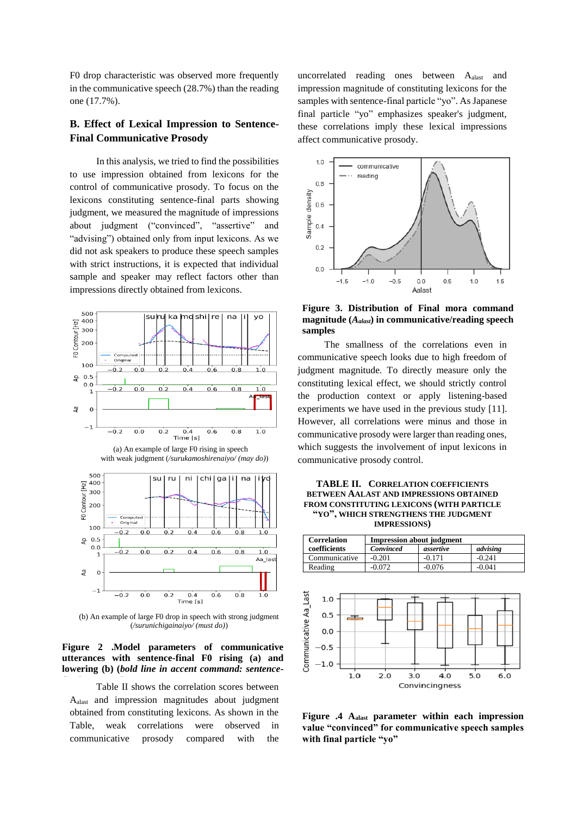F0 drop characteristic was observed more frequently in the communicative speech (28.7%) than the reading one (17.7%).

# **B. Effect of Lexical Impression to Sentence-Final Communicative Prosody**

In this analysis, we tried to find the possibilities to use impression obtained from lexicons for the control of communicative prosody. To focus on the lexicons constituting sentence-final parts showing judgment, we measured the magnitude of impressions about judgment ("convinced", "assertive" and "advising") obtained only from input lexicons. As we did not ask speakers to produce these speech samples with strict instructions, it is expected that individual sample and speaker may reflect factors other than impressions directly obtained from lexicons.





(b) An example of large F0 drop in speech with strong judgment (*/surunichigainaiyo/ (must do)*)

#### **Figure 2 .Model parameters of communicative utterances with sentence-final F0 rising (a) and lowering (b) (***bold line in accent command: sentence-*

Table II shows the correlation scores between *final command***)** Aalast and impression magnitudes about judgment obtained from constituting lexicons. As shown in the Table, weak correlations were observed in communicative prosody compared with the

uncorrelated reading ones between Aalast and impression magnitude of constituting lexicons for the samples with sentence-final particle "yo". As Japanese final particle "yo" emphasizes speaker's judgment, these correlations imply these lexical impressions affect communicative prosody.



**Figure 3. Distribution of Final mora command magnitude (***Aalast***) in communicative/reading speech samples**

The smallness of the correlations even in communicative speech looks due to high freedom of judgment magnitude. To directly measure only the constituting lexical effect, we should strictly control the production context or apply listening-based experiments we have used in the previous study [11]. However, all correlations were minus and those in communicative prosody were larger than reading ones, which suggests the involvement of input lexicons in communicative prosody control.

| <b>TABLE II. CORRELATION COEFFICIENTS</b> |
|-------------------------------------------|
| BETWEEN AALAST AND IMPRESSIONS OBTAINED   |
| FROM CONSTITUTING LEXICONS (WITH PARTICLE |
| "YO", WHICH STRENGTHENS THE JUDGMENT      |
| <b>IMPRESSIONS</b> )                      |

|                   | <b>Correlation</b> | <b>Impression about judgment</b> |           |          |  |
|-------------------|--------------------|----------------------------------|-----------|----------|--|
|                   | coefficients       | Convinced                        | assertive | advising |  |
|                   | Communicative      | $-0.201$                         | $-0.171$  | $-0.241$ |  |
|                   | Reading            | $-0.072$                         | $-0.076$  | $-0.041$ |  |
| unicative Aa_Last | 1.0<br>0.5<br>0.0  |                                  |           |          |  |



 $6.0$ 

Commu  $-1.0$ 

**Figure .4 Aalast parameter within each impression value "convinced" for communicative speech samples with final particle "yo"**